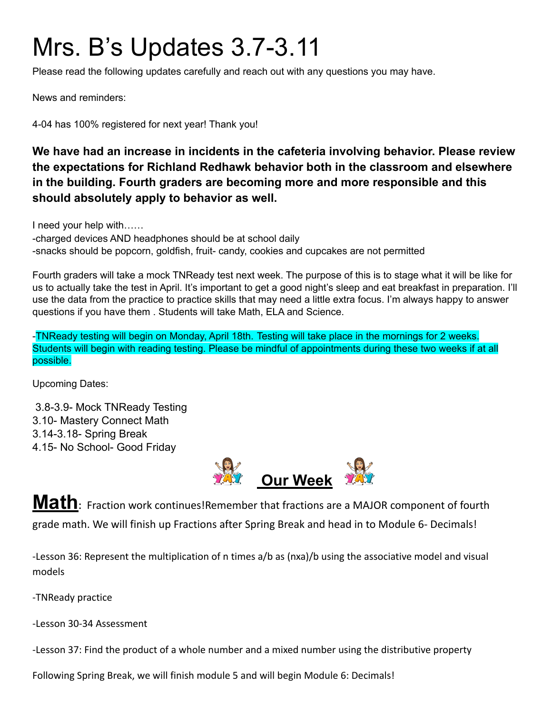## Mrs. B's Updates 3.7-3.11

Please read the following updates carefully and reach out with any questions you may have.

News and reminders:

4-04 has 100% registered for next year! Thank you!

**We have had an increase in incidents in the cafeteria involving behavior. Please review the expectations for Richland Redhawk behavior both in the classroom and elsewhere in the building. Fourth graders are becoming more and more responsible and this should absolutely apply to behavior as well.**

I need your help with……

-charged devices AND headphones should be at school daily -snacks should be popcorn, goldfish, fruit- candy, cookies and cupcakes are not permitted

Fourth graders will take a mock TNReady test next week. The purpose of this is to stage what it will be like for us to actually take the test in April. It's important to get a good night's sleep and eat breakfast in preparation. I'll use the data from the practice to practice skills that may need a little extra focus. I'm always happy to answer questions if you have them . Students will take Math, ELA and Science.

-TNReady testing will begin on Monday, April 18th. Testing will take place in the mornings for 2 weeks. Students will begin with reading testing. Please be mindful of appointments during these two weeks if at all possible.

Upcoming Dates:

3.8-3.9- Mock TNReady Testing 3.10- Mastery Connect Math 3.14-3.18- Spring Break 4.15- No School- Good Friday



**Math**: Fraction work continues!Remember that fractions are a MAJOR component of fourth grade math. We will finish up Fractions after Spring Break and head in to Module 6- Decimals!

-Lesson 36: Represent the multiplication of n times a/b as (nxa)/b using the associative model and visual models

-TNReady practice

-Lesson 30-34 Assessment

-Lesson 37: Find the product of a whole number and a mixed number using the distributive property

Following Spring Break, we will finish module 5 and will begin Module 6: Decimals!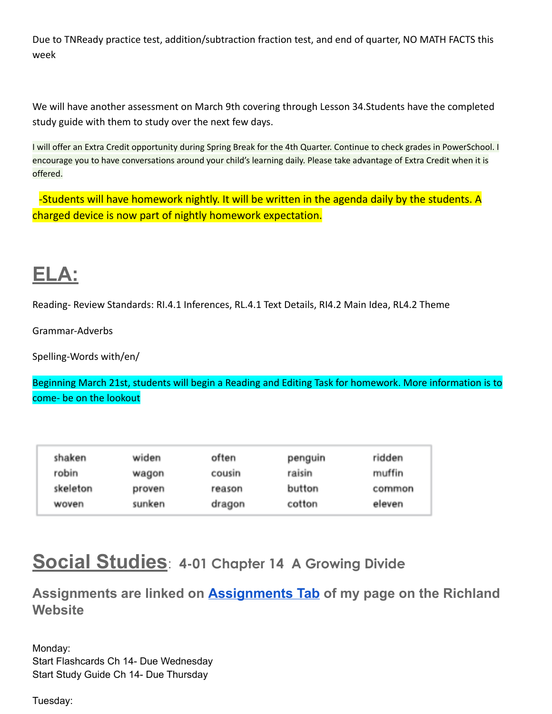Due to TNReady practice test, addition/subtraction fraction test, and end of quarter, NO MATH FACTS this week

We will have another assessment on March 9th covering through Lesson 34.Students have the completed study guide with them to study over the next few days.

I will offer an Extra Credit opportunity during Spring Break for the 4th Quarter. Continue to check grades in PowerSchool. I encourage you to have conversations around your child's learning daily. Please take advantage of Extra Credit when it is offered.

-Students will have homework nightly. It will be written in the agenda daily by the students. A charged device is now part of nightly homework expectation.

## **ELA:**

Reading- Review Standards: RI.4.1 Inferences, RL.4.1 Text Details, RI4.2 Main Idea, RL4.2 Theme

Grammar-Adverbs

Spelling-Words with/en/

Beginning March 21st, students will begin a Reading and Editing Task for homework. More information is to come- be on the lookout

| shaken   | widen  | often  | penguin | ridden |
|----------|--------|--------|---------|--------|
| robin    | wagon  | cousin | raisin  | muffin |
| skeleton | proven | reason | button  | common |
| woven    | sunken | dragon | cotton  | eleven |

## **Social Studies**: **4-01 Chapter 14 A Growing Divide**

**Assignments are linked on [Assignments Tab](https://schools.scsk12.org/Page/14428) of my page on the Richland Website**

Monday: Start Flashcards Ch 14- Due Wednesday Start Study Guide Ch 14- Due Thursday

Tuesday: